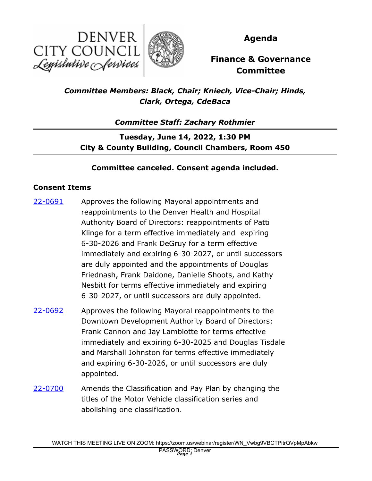



**Agenda**

## **Finance & Governance Committee**

*Committee Members: Black, Chair; Kniech, Vice-Chair; Hinds, Clark, Ortega, CdeBaca*

*Committee Staff: Zachary Rothmier*

**Tuesday, June 14, 2022, 1:30 PM City & County Building, Council Chambers, Room 450**

## **Committee canceled. Consent agenda included.**

## **Consent Items**

- Approves the following Mayoral appointments and reappointments to the Denver Health and Hospital Authority Board of Directors: reappointments of Patti Klinge for a term effective immediately and expiring 6-30-2026 and Frank DeGruy for a term effective immediately and expiring 6-30-2027, or until successors are duly appointed and the appointments of Douglas Friednash, Frank Daidone, Danielle Shoots, and Kathy Nesbitt for terms effective immediately and expiring 6-30-2027, or until successors are duly appointed. [22-0691](http://denver.legistar.com/gateway.aspx?m=l&id=/matter.aspx?key=21758)
- Approves the following Mayoral reappointments to the Downtown Development Authority Board of Directors: Frank Cannon and Jay Lambiotte for terms effective immediately and expiring 6-30-2025 and Douglas Tisdale and Marshall Johnston for terms effective immediately and expiring 6-30-2026, or until successors are duly appointed. [22-0692](http://denver.legistar.com/gateway.aspx?m=l&id=/matter.aspx?key=21759)
- Amends the Classification and Pay Plan by changing the titles of the Motor Vehicle classification series and abolishing one classification. [22-0700](http://denver.legistar.com/gateway.aspx?m=l&id=/matter.aspx?key=21767)